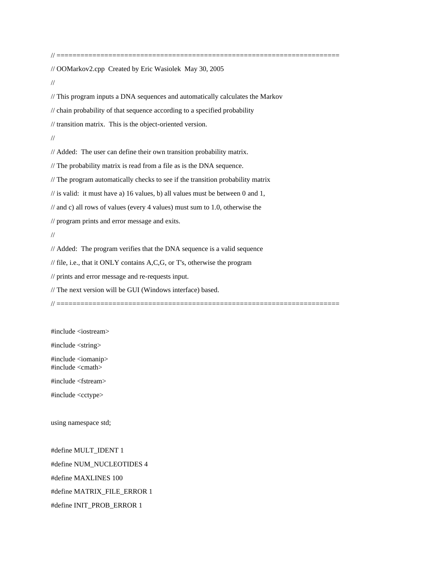// OOMarkov2.cpp Created by Eric Wasiolek May 30, 2005

//

// This program inputs a DNA sequences and automatically calculates the Markov

// chain probability of that sequence according to a specified probability

// transition matrix. This is the object-oriented version.

//

// Added: The user can define their own transition probability matrix.

// The probability matrix is read from a file as is the DNA sequence.

// The program automatically checks to see if the transition probability matrix

 $\frac{1}{10}$  is valid: it must have a) 16 values, b) all values must be between 0 and 1,

// and c) all rows of values (every 4 values) must sum to 1.0, otherwise the

// program prints and error message and exits.

//

// Added: The program verifies that the DNA sequence is a valid sequence

// file, i.e., that it ONLY contains A,C,G, or T's, otherwise the program

// prints and error message and re-requests input.

// The next version will be GUI (Windows interface) based.

// =======================================================================

#include <iostream>

#include <string>

#include <iomanip> #include <cmath>

#include <fstream>

#include <cctype>

using namespace std;

#define MULT\_IDENT 1 #define NUM\_NUCLEOTIDES 4 #define MAXLINES 100 #define MATRIX\_FILE\_ERROR 1 #define INIT\_PROB\_ERROR 1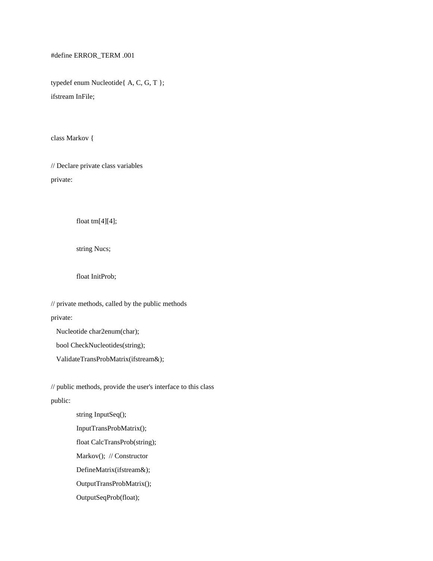#define ERROR\_TERM .001

typedef enum Nucleotide{ A, C, G, T }; ifstream InFile;

class Markov {

// Declare private class variables private:

float tm[4][4];

string Nucs;

float InitProb;

// private methods, called by the public methods private:

Nucleotide char2enum(char);

bool CheckNucleotides(string);

ValidateTransProbMatrix(ifstream&);

// public methods, provide the user's interface to this class public:

> string InputSeq(); InputTransProbMatrix(); float CalcTransProb(string); Markov(); // Constructor DefineMatrix(ifstream&); OutputTransProbMatrix(); OutputSeqProb(float);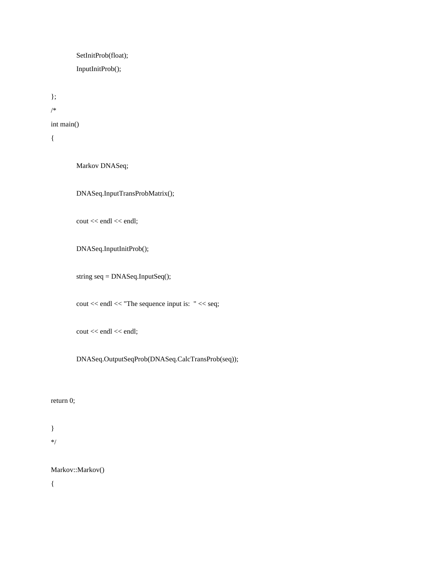SetInitProb(float); InputInitProb();

int main()

{

}; /\*

Markov DNASeq;

DNASeq.InputTransProbMatrix();

cout << endl << endl;

DNASeq.InputInitProb();

string seq = DNASeq.InputSeq();

cout << endl << "The sequence input is: " << seq;

cout << endl << endl;

DNASeq.OutputSeqProb(DNASeq.CalcTransProb(seq));

## return 0;

} \*/

Markov::Markov()

{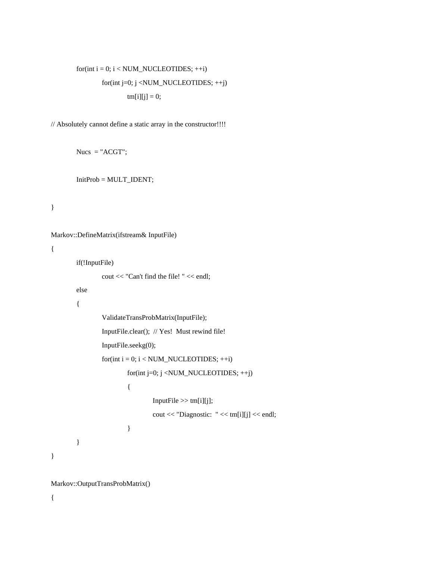```
for(int i = 0; i < NUM\_NUCLEOTIDES; ++i)for(int j=0; j <NUM_NUCLEOTIDES; ++j)
               tm[i][j] = 0;
```
// Absolutely cannot define a static array in the constructor!!!!

 $Nucs = "ACGT";$ 

InitProb = MULT\_IDENT;

}

```
Markov::DefineMatrix(ifstream& InputFile)
```
{

```
if(!InputFile)
```

```
cout << "Can't find the file! " << endl;
```
else

{

```
ValidateTransProbMatrix(InputFile);
        InputFile.clear(); // Yes! Must rewind file!
        InputFile.seekg(0);
        for(int i = 0; i < NUM\_NUCLEOTIDES; ++i)for(int j=0; j <NUM_NUCLEOTIDES; ++j)
                {
                         InputFile \gg tm[i][j];cout << "Diagnostic: " << tm[i][j] << endl;
                }
}
```
Markov::OutputTransProbMatrix()

{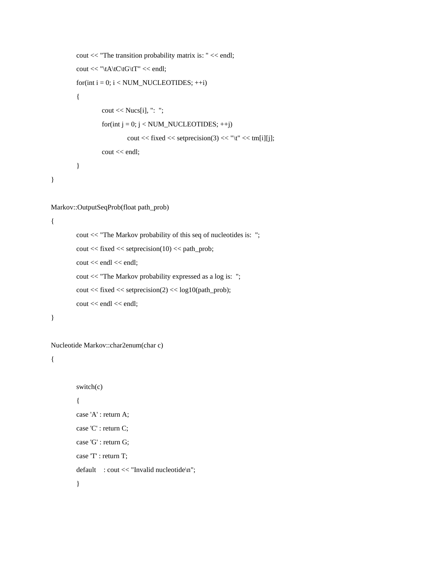```
cout << "The transition probability matrix is: " << endl;
cout << "\tA\tC\tG\tT" << endl;
for(int i = 0; i < NUM\_NUCLEOTIDES; ++i){
        cout << Nucs[i], ": ";
        for(int j = 0; j < NUM_NUCLEOTIDES; ++j)
                 cout << fixed << setprecision(3) << "\t" << tm[i][j];
        cout << endl;
}
```

```
}
```
## Markov::OutputSeqProb(float path\_prob)

{

```
cout << "The Markov probability of this seq of nucleotides is: ";
\text{cout} \ll \text{fixed} \ll \text{setprecision}(10) \ll \text{path\_prob};cout << endl << endl;
cout << "The Markov probability expressed as a log is: ";
\text{cout} \ll \text{fixed} \ll \text{setprecision}(2) \ll \log 10(\text{path\_prob});cout << endl << endl;
```
}

```
Nucleotide Markov::char2enum(char c)
```
{

```
switch(c)
{
case 'A' : return A;
case 'C' : return C;
case 'G' : return G;
case 'T' : return T;
default : cout << "Invalid nucleotide\n";
}
```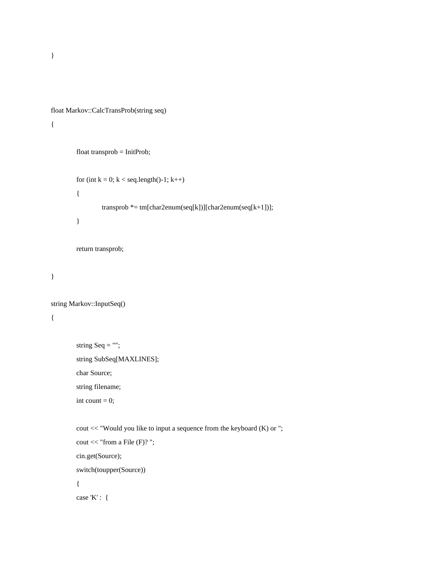```
float Markov::CalcTransProb(string seq)
```
## {

```
float transprob = InitProb;
for (int k = 0; k < seq.length()-1; k++)
{
        transprob * = tm[char2enum(seq[k])][char2enum(seq[k+1])];
}
return transprob;
```
}

```
string Markov::InputSeq()
{
```

```
string Seq ="";
string SubSeq[MAXLINES];
char Source;
string filename;
int count = 0;
```

```
cout << "Would you like to input a sequence from the keyboard (K) or ";
cout << "from a File (F)? ";
cin.get(Source);
switch(toupper(Source))
{
case 'K' : {
```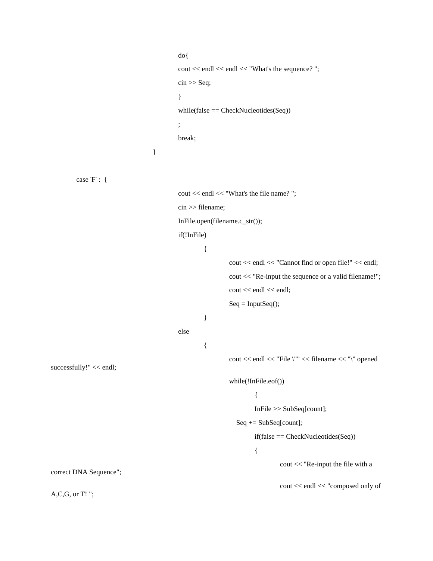```
do{
                                            cout << endl << endl << "What's the sequence? ";
                                            \sin \gg Seq;
                                            }
                                            while(false == CheckNucleotides(Seq))
                                            ;
                                            break;
                                   }
        case 'F' : { 
                                            cout << endl << "What's the file name? ";
                                            cin >> filename;
                                            InFile.open(filename.c_str());
                                            if(!InFile)
                                                     {
                                                             cout << endl << "Cannot find or open file!" << endl;
                                                              cout << "Re-input the sequence or a valid filename!";
                                                              cout << endl << endl;
                                                              Seq = InputSeq();}
                                            else
                                                     {
                                                              cout << endl << "File \"" << filename << "\" opened 
successfully!" << endl;
                                                              while(!InFile.eof())
                                                                      {
                                                                      InFile >> SubSeq[count];
                                                                 Seq += SubSeq[count];
                                                                      if(false == CheckNucleotides(Seq))
                                                                      {
                                                                               cout << "Re-input the file with a 
correct DNA Sequence";
                                                                               cout << endl << "composed only of 
A,C,G, or T! ";
```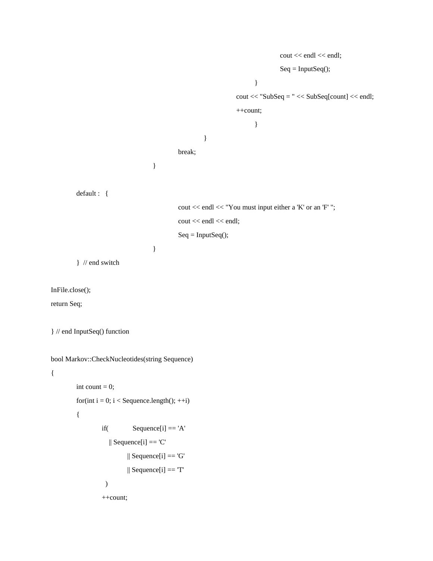```
cout << endl << endl;
                                                                                   Seq = InputSeq();}
                                                                 \text{cout} \ll \text{"SubSeq} = \text{"} \ll \text{SubSeq}[\text{count}] \ll \text{end};
                                                                  ++count;
                                                                         }
                                                    }
                                         break;
                               }
                                         cout << endl << "You must input either a 'K' or an 'F'";
                                         cout << endl << endl;
                                         Seq = InputSeq();}
} // end switch
```
InFile.close();

return Seq;

} // end InputSeq() function

default : {

```
bool Markov::CheckNucleotides(string Sequence)
```
{

```
int count = 0;
for(int i = 0; i < Sequence.length(); ++i)
{
         if( Sequence[i] == 'A'\parallel Sequence[i] == 'C'
                   \parallel Sequence[i] == 'G'
```

```
\parallel Sequence[i] == 'T'
```
++count;

)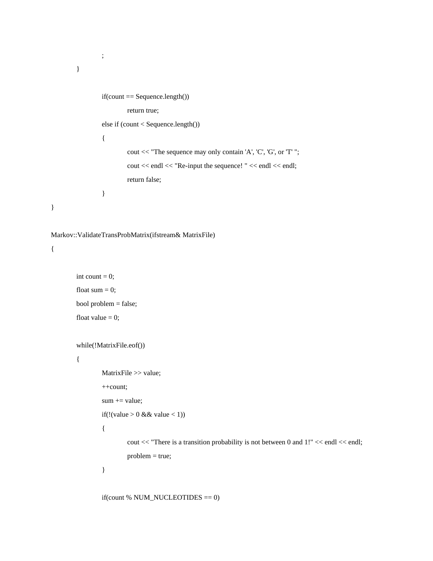```
;
         }
                 if(count == Sequence.length())
                          return true;
                 else if (count < Sequence.length())
                  {
                          cout << "The sequence may only contain 'A', 'C', 'G', or 'T' ";
                          cout << endl << "Re-input the sequence! " << endl << endl;
                          return false;
                 }
}
Markov::ValidateTransProbMatrix(ifstream& MatrixFile)
```

```
int count = 0;
float sum = 0;
bool problem = false;
float value = 0;
```

```
while(!MatrixFile.eof())
```
{

{

```
MatrixFile >> value;
++count;
sum += value;if(!(value > 0 & 0 & 0 \leq x < 1))
{
```
cout << "There is a transition probability is not between 0 and 1!" << endl << endl; problem = true;

}

if(count % NUM\_NUCLEOTIDES == 0)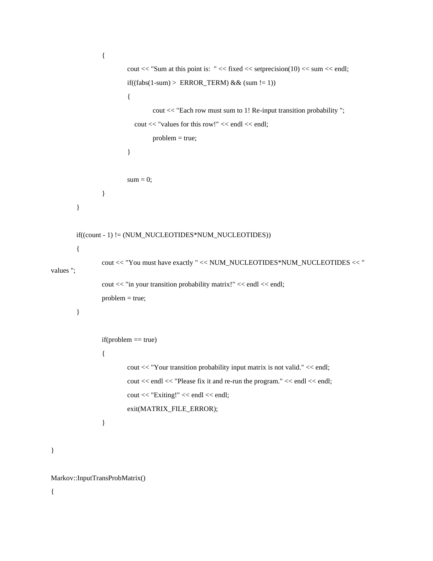```
{
                         cout << "Sum at this point is: "<< fixed << setprecision(10) << sum << endl;
                         if((fabs(1-sum) > ERROR_TERM) & & (sum != 1)){
                                 cout << "Each row must sum to 1! Re-input transition probability ";
                            cout << "values for this row!" << endl << endl;
                                 problem = true;
                         }
                         sum = 0;}
        }
        if((count - 1) != (NUM_NUCLEOTIDES*NUM_NUCLEOTIDES))
        {
                cout << "You must have exactly " << NUM_NUCLEOTIDES*NUM_NUCLEOTIDES << " 
values ";
                cout << "in your transition probability matrix!" << endl << endl;
                problem = true;
        }
                if(problem == true){
                        cout << "Your transition probability input matrix is not valid." << endl;
                         cout << endl << "Please fix it and re-run the program." << endl << endl;
                        cout << "Exiting!" << endl << endl;
                         exit(MATRIX_FILE_ERROR);
                }
```
Markov::InputTransProbMatrix()

{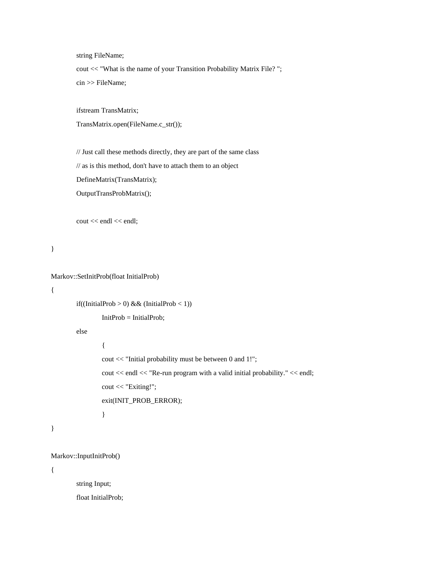string FileName;

cout << "What is the name of your Transition Probability Matrix File? "; cin >> FileName;

ifstream TransMatrix;

TransMatrix.open(FileName.c\_str());

// Just call these methods directly, they are part of the same class

// as is this method, don't have to attach them to an object

DefineMatrix(TransMatrix);

OutputTransProbMatrix();

cout << endl << endl;

}

```
Markov::SetInitProb(float InitialProb)
```
{

}

{

if((InitialProb > 0) & & (InitialProb < 1))

 $InitProb = InitialProb;$ 

else

cout << "Initial probability must be between 0 and 1!"; cout << endl << "Re-run program with a valid initial probability." << endl; cout << "Exiting!"; exit(INIT\_PROB\_ERROR);

}

```
Markov::InputInitProb()
```
{

string Input;

float InitialProb;